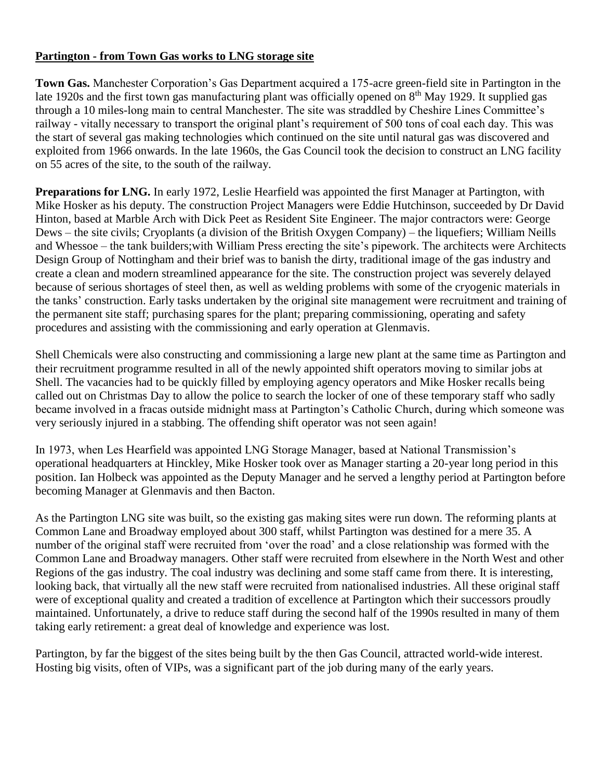## **Partington - from Town Gas works to LNG storage site**

**Town Gas.** Manchester Corporation's Gas Department acquired a 175-acre green-field site in Partington in the late 1920s and the first town gas manufacturing plant was officially opened on 8<sup>th</sup> May 1929. It supplied gas through a 10 miles-long main to central Manchester. The site was straddled by Cheshire Lines Committee's railway - vitally necessary to transport the original plant's requirement of 500 tons of coal each day. This was the start of several gas making technologies which continued on the site until natural gas was discovered and exploited from 1966 onwards. In the late 1960s, the Gas Council took the decision to construct an LNG facility on 55 acres of the site, to the south of the railway.

**Preparations for LNG.** In early 1972, Leslie Hearfield was appointed the first Manager at Partington, with Mike Hosker as his deputy. The construction Project Managers were Eddie Hutchinson, succeeded by Dr David Hinton, based at Marble Arch with Dick Peet as Resident Site Engineer. The major contractors were: George Dews – the site civils; Cryoplants (a division of the British Oxygen Company) – the liquefiers; William Neills and Whessoe – the tank builders;with William Press erecting the site's pipework. The architects were Architects Design Group of Nottingham and their brief was to banish the dirty, traditional image of the gas industry and create a clean and modern streamlined appearance for the site. The construction project was severely delayed because of serious shortages of steel then, as well as welding problems with some of the cryogenic materials in the tanks' construction. Early tasks undertaken by the original site management were recruitment and training of the permanent site staff; purchasing spares for the plant; preparing commissioning, operating and safety procedures and assisting with the commissioning and early operation at Glenmavis.

Shell Chemicals were also constructing and commissioning a large new plant at the same time as Partington and their recruitment programme resulted in all of the newly appointed shift operators moving to similar jobs at Shell. The vacancies had to be quickly filled by employing agency operators and Mike Hosker recalls being called out on Christmas Day to allow the police to search the locker of one of these temporary staff who sadly became involved in a fracas outside midnight mass at Partington's Catholic Church, during which someone was very seriously injured in a stabbing. The offending shift operator was not seen again!

In 1973, when Les Hearfield was appointed LNG Storage Manager, based at National Transmission's operational headquarters at Hinckley, Mike Hosker took over as Manager starting a 20-year long period in this position. Ian Holbeck was appointed as the Deputy Manager and he served a lengthy period at Partington before becoming Manager at Glenmavis and then Bacton.

As the Partington LNG site was built, so the existing gas making sites were run down. The reforming plants at Common Lane and Broadway employed about 300 staff, whilst Partington was destined for a mere 35. A number of the original staff were recruited from 'over the road' and a close relationship was formed with the Common Lane and Broadway managers. Other staff were recruited from elsewhere in the North West and other Regions of the gas industry. The coal industry was declining and some staff came from there. It is interesting, looking back, that virtually all the new staff were recruited from nationalised industries. All these original staff were of exceptional quality and created a tradition of excellence at Partington which their successors proudly maintained. Unfortunately, a drive to reduce staff during the second half of the 1990s resulted in many of them taking early retirement: a great deal of knowledge and experience was lost.

Partington, by far the biggest of the sites being built by the then Gas Council, attracted world-wide interest. Hosting big visits, often of VIPs, was a significant part of the job during many of the early years.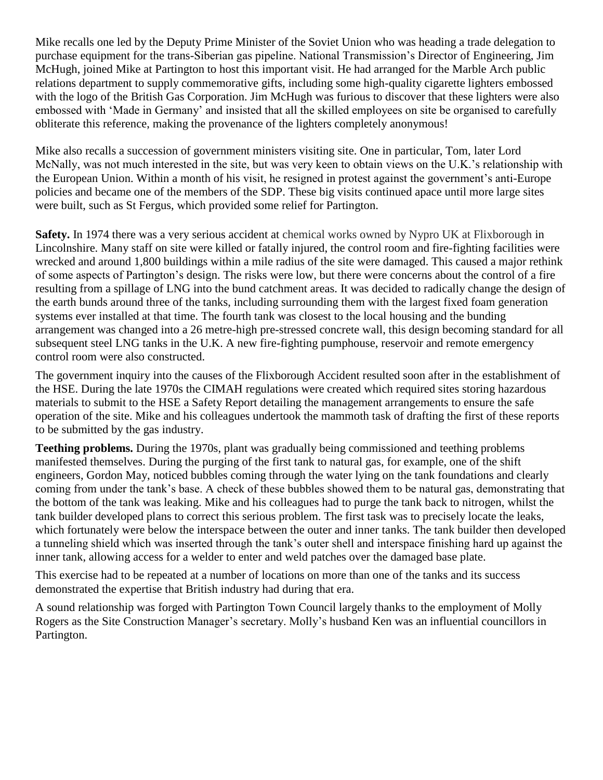Mike recalls one led by the Deputy Prime Minister of the Soviet Union who was heading a trade delegation to purchase equipment for the trans-Siberian gas pipeline. National Transmission's Director of Engineering, Jim McHugh, joined Mike at Partington to host this important visit. He had arranged for the Marble Arch public relations department to supply commemorative gifts, including some high-quality cigarette lighters embossed with the logo of the British Gas Corporation. Jim McHugh was furious to discover that these lighters were also embossed with 'Made in Germany' and insisted that all the skilled employees on site be organised to carefully obliterate this reference, making the provenance of the lighters completely anonymous!

Mike also recalls a succession of government ministers visiting site. One in particular, Tom, later Lord McNally, was not much interested in the site, but was very keen to obtain views on the U.K.'s relationship with the European Union. Within a month of his visit, he resigned in protest against the government's anti-Europe policies and became one of the members of the SDP. These big visits continued apace until more large sites were built, such as St Fergus, which provided some relief for Partington.

**Safety.** In 1974 there was a very serious accident at chemical works owned by Nypro UK at Flixborough in Lincolnshire. Many staff on site were killed or fatally injured, the control room and fire-fighting facilities were wrecked and around 1,800 buildings within a mile radius of the site were damaged. This caused a major rethink of some aspects of Partington's design. The risks were low, but there were concerns about the control of a fire resulting from a spillage of LNG into the bund catchment areas. It was decided to radically change the design of the earth bunds around three of the tanks, including surrounding them with the largest fixed foam generation systems ever installed at that time. The fourth tank was closest to the local housing and the bunding arrangement was changed into a 26 metre-high pre-stressed concrete wall, this design becoming standard for all subsequent steel LNG tanks in the U.K. A new fire-fighting pumphouse, reservoir and remote emergency control room were also constructed.

The government inquiry into the causes of the Flixborough Accident resulted soon after in the establishment of the HSE. During the late 1970s the CIMAH regulations were created which required sites storing hazardous materials to submit to the HSE a Safety Report detailing the management arrangements to ensure the safe operation of the site. Mike and his colleagues undertook the mammoth task of drafting the first of these reports to be submitted by the gas industry.

**Teething problems.** During the 1970s, plant was gradually being commissioned and teething problems manifested themselves. During the purging of the first tank to natural gas, for example, one of the shift engineers, Gordon May, noticed bubbles coming through the water lying on the tank foundations and clearly coming from under the tank's base. A check of these bubbles showed them to be natural gas, demonstrating that the bottom of the tank was leaking. Mike and his colleagues had to purge the tank back to nitrogen, whilst the tank builder developed plans to correct this serious problem. The first task was to precisely locate the leaks, which fortunately were below the interspace between the outer and inner tanks. The tank builder then developed a tunneling shield which was inserted through the tank's outer shell and interspace finishing hard up against the inner tank, allowing access for a welder to enter and weld patches over the damaged base plate.

This exercise had to be repeated at a number of locations on more than one of the tanks and its success demonstrated the expertise that British industry had during that era.

A sound relationship was forged with Partington Town Council largely thanks to the employment of Molly Rogers as the Site Construction Manager's secretary. Molly's husband Ken was an influential councillors in Partington.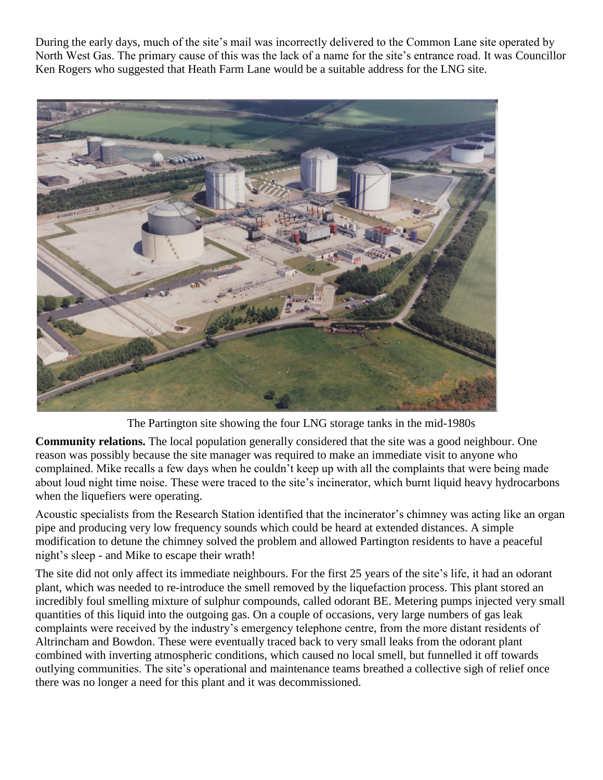During the early days, much of the site's mail was incorrectly delivered to the Common Lane site operated by North West Gas. The primary cause of this was the lack of a name for the site's entrance road. It was Councillor Ken Rogers who suggested that Heath Farm Lane would be a suitable address for the LNG site.



The Partington site showing the four LNG storage tanks in the mid-1980s

**Community relations.** The local population generally considered that the site was a good neighbour. One reason was possibly because the site manager was required to make an immediate visit to anyone who complained. Mike recalls a few days when he couldn't keep up with all the complaints that were being made about loud night time noise. These were traced to the site's incinerator, which burnt liquid heavy hydrocarbons when the liquefiers were operating.

Acoustic specialists from the Research Station identified that the incinerator's chimney was acting like an organ pipe and producing very low frequency sounds which could be heard at extended distances. A simple modification to detune the chimney solved the problem and allowed Partington residents to have a peaceful night's sleep - and Mike to escape their wrath!

The site did not only affect its immediate neighbours. For the first 25 years of the site's life, it had an odorant plant, which was needed to re-introduce the smell removed by the liquefaction process. This plant stored an incredibly foul smelling mixture of sulphur compounds, called odorant BE. Metering pumps injected very small quantities of this liquid into the outgoing gas. On a couple of occasions, very large numbers of gas leak complaints were received by the industry's emergency telephone centre, from the more distant residents of Altrincham and Bowdon. These were eventually traced back to very small leaks from the odorant plant combined with inverting atmospheric conditions, which caused no local smell, but funnelled it off towards outlying communities. The site's operational and maintenance teams breathed a collective sigh of relief once there was no longer a need for this plant and it was decommissioned.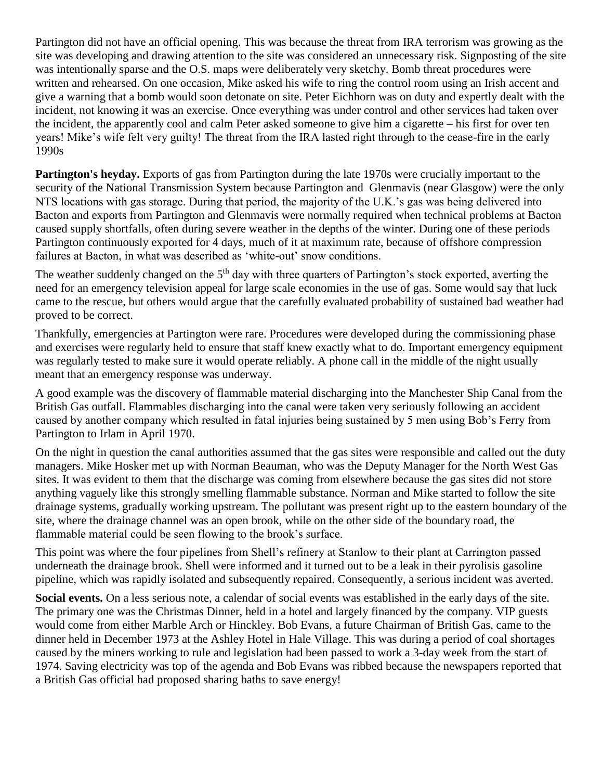Partington did not have an official opening. This was because the threat from IRA terrorism was growing as the site was developing and drawing attention to the site was considered an unnecessary risk. Signposting of the site was intentionally sparse and the O.S. maps were deliberately very sketchy. Bomb threat procedures were written and rehearsed. On one occasion, Mike asked his wife to ring the control room using an Irish accent and give a warning that a bomb would soon detonate on site. Peter Eichhorn was on duty and expertly dealt with the incident, not knowing it was an exercise. Once everything was under control and other services had taken over the incident, the apparently cool and calm Peter asked someone to give him a cigarette – his first for over ten years! Mike's wife felt very guilty! The threat from the IRA lasted right through to the cease-fire in the early 1990s

**Partington's heyday.** Exports of gas from Partington during the late 1970s were crucially important to the security of the National Transmission System because Partington and Glenmavis (near Glasgow) were the only NTS locations with gas storage. During that period, the majority of the U.K.'s gas was being delivered into Bacton and exports from Partington and Glenmavis were normally required when technical problems at Bacton caused supply shortfalls, often during severe weather in the depths of the winter. During one of these periods Partington continuously exported for 4 days, much of it at maximum rate, because of offshore compression failures at Bacton, in what was described as 'white-out' snow conditions.

The weather suddenly changed on the 5<sup>th</sup> day with three quarters of Partington's stock exported, averting the need for an emergency television appeal for large scale economies in the use of gas. Some would say that luck came to the rescue, but others would argue that the carefully evaluated probability of sustained bad weather had proved to be correct.

Thankfully, emergencies at Partington were rare. Procedures were developed during the commissioning phase and exercises were regularly held to ensure that staff knew exactly what to do. Important emergency equipment was regularly tested to make sure it would operate reliably. A phone call in the middle of the night usually meant that an emergency response was underway.

A good example was the discovery of flammable material discharging into the Manchester Ship Canal from the British Gas outfall. Flammables discharging into the canal were taken very seriously following an accident caused by another company which resulted in fatal injuries being sustained by 5 men using Bob's Ferry from Partington to Irlam in April 1970.

On the night in question the canal authorities assumed that the gas sites were responsible and called out the duty managers. Mike Hosker met up with Norman Beauman, who was the Deputy Manager for the North West Gas sites. It was evident to them that the discharge was coming from elsewhere because the gas sites did not store anything vaguely like this strongly smelling flammable substance. Norman and Mike started to follow the site drainage systems, gradually working upstream. The pollutant was present right up to the eastern boundary of the site, where the drainage channel was an open brook, while on the other side of the boundary road, the flammable material could be seen flowing to the brook's surface.

This point was where the four pipelines from Shell's refinery at Stanlow to their plant at Carrington passed underneath the drainage brook. Shell were informed and it turned out to be a leak in their pyrolisis gasoline pipeline, which was rapidly isolated and subsequently repaired. Consequently, a serious incident was averted.

**Social events.** On a less serious note, a calendar of social events was established in the early days of the site. The primary one was the Christmas Dinner, held in a hotel and largely financed by the company. VIP guests would come from either Marble Arch or Hinckley. Bob Evans, a future Chairman of British Gas, came to the dinner held in December 1973 at the Ashley Hotel in Hale Village. This was during a period of coal shortages caused by the miners working to rule and legislation had been passed to work a 3-day week from the start of 1974. Saving electricity was top of the agenda and Bob Evans was ribbed because the newspapers reported that a British Gas official had proposed sharing baths to save energy!